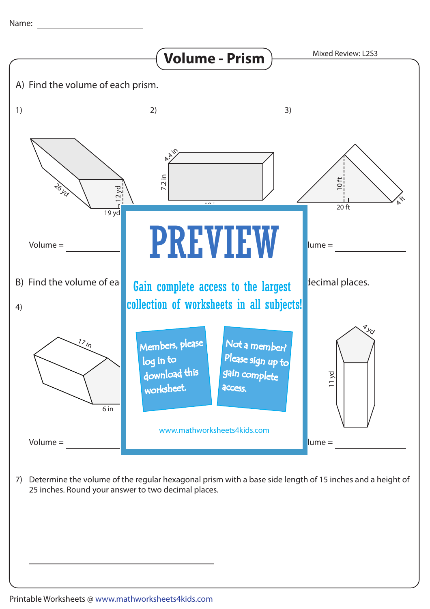

7) Determine the volume of the regular hexagonal prism with a base side length of 15 inches and a height of 25 inches. Round your answer to two decimal places.